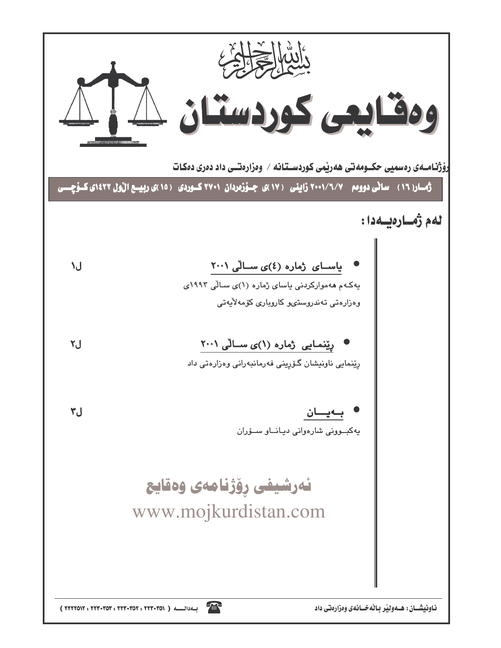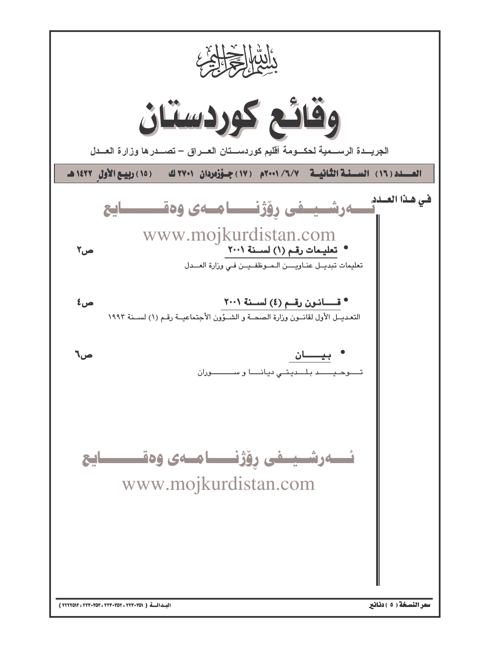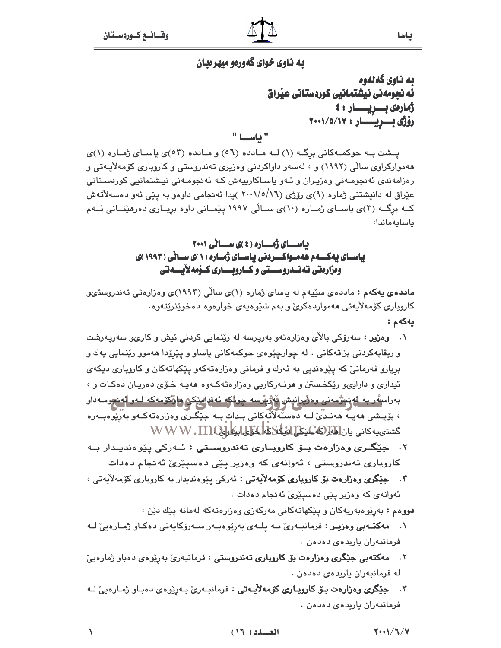## ده ناوي خواي گهورهو ميهرهبان

ىە ناوي گەنەوە ئه نجومهنی نیشتمانیی کوردستانی عیراق ژمارەى بىريسىار : } رۆژى بىريىسار : 10/0/17 " ئاشىيا "

یهشت به حوکمه کانی برگ (۱) له مادده (٥٦) و مادده (٥٣)ی پاسای ژماره (١)ی ههموارکراوی سالّی (۱۹۹۲) و ، لهسهر داواکردنی وهزیری تهندروستی و کاروباری کوّمهلاّیـهتی و رەزامەندى ئەنجومـەنى وەزيـران و ئـەو ياسـاكارييەش كـە ئەنجومـەنى نيـشتمانيى كوردسـتانى عیّراق له دانیشتنی ژماره (۹)ی رۆژی (۱۲/۰/۰/۱۲ )یدا ئهنجامی داوهو به پیّی ئهو دهسهلاّتهش کــه برگــه (٣)ى ياســاى ژمــاره (١٠)ى ســالّى ١٩٩٧ پيّمــانى داوه بريــارى دهرهيّنــانى ئــهم ىاسايەماندا:

### باسای ژماره (٤)ی ساٽي ٢٠٠١ ئاسای نەكسەم ھەمبواكسىردنى ئاسباي ژمپارە (۱)ى سيانى (۱۹۹۳)ى ومزارمتي تەنــدروســتي و كــاروبــــاري كــۆمەلأيـــەتي

م**اددهی یهکهم :** ماددهی سێیهم له یاسای ژماره (۱)ی سالّی (۱۹۹۳)ی وهزارهتی تهندروستیو کاروباری کۆمەلأيەتى ھەمواردەکرئ و بەم شێوەپەی خوارەوە دەخوێنرێتەوە٠ بەكەم :

- ۰۱ **وەزیر** : سەرۆکى بالأى وەزارەتەو بەريرسە لە رێنمايى کردنى ئيش و کارىو سەريەرشت و ريقابهکردنی بزاڤهکانی . له چوارچێوهی حوکمهکانی ياساو و پێرۆدا ههموو رێنمايی يهك و بريارو فهرمانيّ که پێوهنديي به ئهرك و فرماني وهزارهتهکهو پێکهاتهکان و کاروپاري ديکهي ئیداری و دارایهو ریکخستن و هونـهرکاریی وهزارهتهکـهوه ههیـه خـوّی دهریـان دهکـات و ، بەرامې*تَّەر* بە **ئ**ۇدېۋىمەنى وەۋىرانېش مەژىپىسە چولكە ئەندا*م*ىكى ھاۋكۆمەكە لـە**ر ئ**ەنجومـەدار ، بۆيىشى ھەييە ھەنىدى لــه دەســەلاتەكانى بىدات بــه جِيْگىرى وەزارەتەكــەو بەرپوەبــەرە كشتى يەكانى يان لغاز (كەسىنى ئىككىلىك ئىككى WWW.MQ
- ۰۲ ج**یگری وهزارهت بــوّ کارویــاری تهندروســتی :** ئــهرکی ییّوهندیـدار بــه کاروباری تەندروستی ، ئەوانەی کە وەزیر پێی دەسپێرێ ئەنجام دەدات
- ۰۳ جنگری وهزارهت بۆ کاروياری کۆمەلايەتى : ئەرکى ييوەنديدار بە کاروياری کۆمەلايەتى ، ئەوانەي كە وەزير يێى دەسيێرێ ئەنجام دەدات .

**دووهم :** بەرێوەبەريەكان و پێكهاتەكانى مەركەزى وەزارەتەكە لەمانە پێك دێن :

- ۰۱ مه کتب یی وهزیر : فرمانب ريّ بـه پلـهی بهريوهبـهر سـهروّکايهتی دهکـاو ژمـارهييّ لـه فرمانبەران يارىدەي دەدەن .
- **مەكتەبى جێگرى وەزارەت بۆ كاروپارى تەندروستى :** فرمانبەرى بەرێوەي دەباو ژمارەيى ّ  $\cdot$   $\mathsf{r}$ له فرمانبەران ياريدەي دەدەن .
- ۰۳ ج**ێگری وەزارەت بىۆ كاروبـاری كۆمەلأيـەتى** : فرمانبـەرئ بـەرێوەی دەبـاو ژمـارەيئ لـە فرمانبەران ياريدەي دەدەن .

 $\sqrt{2}$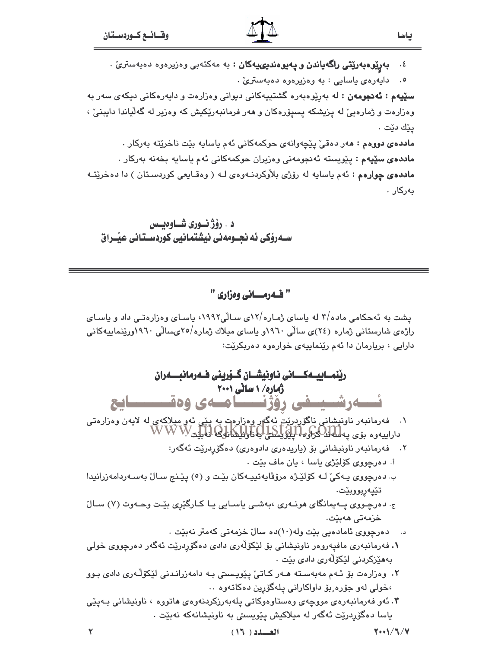**بەرپیوەبەریتی راگەياندن و پەيوەندىي يەكان** : بە مەكتەبى وەزيرەوە دەبەسترىّ .  $\cdot$  {

٥. دايەرەي ياسايى : بە وەزيرەوە دەبەسترىٰ .

ياسا

**سێپهم : ئەنجومەن :** لە بەرێوەبەرە گشتیپەكانى دىوانى وەزارەت و دايەرەكانى دىكەى سەر بە وهزارهت و ژمارهیی له یزیشکه یسیۆرهکان و ههر فرمانبهرێکیش که وهزیر له گهڵیاندا دایبنی ، يێك دێت ٠

ماددهى دووهم : هەر دەقى پيچەوانەي حوكمەكانى ئەم ياسايە بيّت ناخريته بەركار . <mark>مادده ی سێپهم</mark> : پێویسته ئەنجومەنی وەزیران حوکمەکانی ئەم یاسایە بخەنە بەرکار . ماددهی چوارهم : ئهم ياسايه له رۆژى بلاوكردنـهوهى لـه ( وهقـايعى كوردسـتان ) دا دهخريتـه نەركار .

د . رۆژ نورى شـاوەيـس ســهروکی ئه نجــومهنی نیشتمانیی کوردسـتـانی عیّــراق

## " فـهرمـاني وهزاري "

یشت به ئهحکامی ماده/۳ له پاسای ژماره/۱۲ی سـالّی۱۹۹۲، پاسـای وهزارهتـی داد و پاسـای راژەي شارستانى ژمارە (٢٤)ى سالى ١٩٦٠و ياساي ميلاك ژمارە/٢٥عىسالى ١٩٦٠ورێنماييەكانى دارایی ، بریارمان دا ئهم رینماییهی خوارهوه دهربکریت:

| رێنمـــاييـــەكــــــانى نــاونيشـــان گــۆرپنى فــەرمانبــــەران                                                                                                    |
|----------------------------------------------------------------------------------------------------------------------------------------------------------------------|
| ژماره/ ۱ سانی ۲۰۰۱                                                                                                                                                   |
| ئسەرشىيىغى رۆژنىسامىەي وەقىسىسايى                                                                                                                                    |
| ۱.    فەرمانبەر ناونىشانى ناگۈردرێت ئەگەر وەزارەت بە يېنى ئەو مىلاكەي لە لايەن وەزارەتى<br>داراييەوە بۆي پەلىلەككرۇە، لې <u>لۇپايدىلى</u> بەناۋىلىشانۇ2 نەبىيى W W W |
| ۲.    فەرمانبەر ناونیشانی بۆ (یاریدەری دادوەری) دەگۆردرێت ئەگەر:                                                                                                     |
| i. دەرچووى كۆلێژ <i>ى</i> ياسا ، يان ماف بێت .                                                                                                                       |
| ب دهرچووی یـهکیّ لـه کۆلێـژه مرۆڨايەتييـهکان بێـت و (٥) پێـنج سـالّ بەسـەردامەزرانيدا                                                                                |
| تێۑ۪ەڕبووبێت.                                                                                                                                                        |
| ج دهرچووی په یمانگای هونـهری ،بهشـی یاسـایی یـا کـارگێڕی بێـت وحـهوت (۷) سـالٌ                                                                                       |
| خزمەتى ھەبێت.                                                                                                                                                        |
| د.     دەرچووى ئامادەيى بێت ولە(١٠)دە سالٚ خزمەتى كەمتر نەبێت .                                                                                                      |
| <b>۱.</b> فەرمانبەرى مافپەروەر ناونيشانى بۆ لێكۆلەرى دا <i>دى</i> دەگۆردرێت ئەگەر دەرچووى خولى                                                                       |
| بەھێزكردنى لێكۆڵەرى دادى بێت .                                                                                                                                       |
| ۲. وەزارەت بۆ ئـﻪم مەبەسـﺘﻪ ﻫـﻪر ﻛـﺎﺗﻰّ ﭘﻴّﻮﻳـﺴﯩﺘﻰ ﺑـﻪ ﺩﺍﻣﻪﺯﺭﺍﻧـﺪﻧﻰ ﻟﻴّﻜﯚﻟّـﻪﺭﻯ ﺩﺍﺩﻯ ﺑـﻮﻭ                                                                            |
| ،خولی لهو جۆرە ِبۆ داواکارانی پلهگۆرپن دەکاتەوە ٠٠                                                                                                                   |
| ۰۳ ئەو فەرمانبەرەى مووچەى وەستاوەوكاتى پلەبەرزكردنەوەى ھاتووە ، ناونيشانى بـەپێى                                                                                     |
| ياسا دەگۆردرێت ئەگەر لە ميلاكيش پێويسىتى بە ناونيشانەكە نەبێت .                                                                                                      |
| $\overline{u}$ / $\overline{u}$ / $\overline{u}$ / $\overline{u}$                                                                                                    |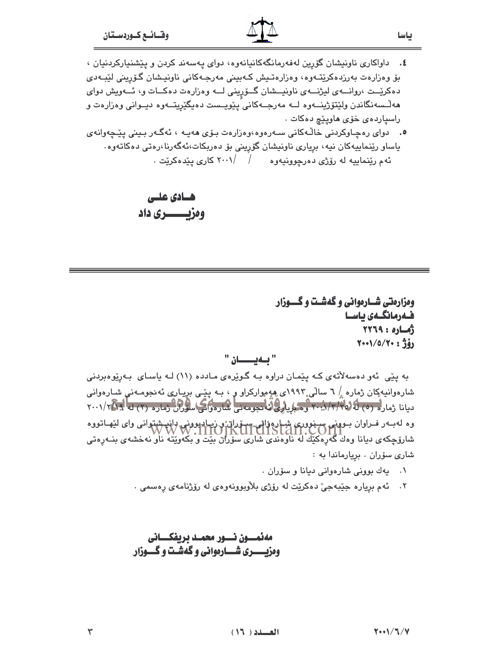۰۵ درای رهچاوکردنی خالـْـهکانی ســهرهوه،وهزارهت بـۆی ههیـه ، ئهگـهر بـینی ییّـچهوانهی ياساو رێنماييەكان نيە، بږيارى ناونيشان گۆرپىنى بۆ دەربكات،ئەگەرنا،رەتى دەكاتەوە. ئهم رێنماییه له رۆژی دهرچوونیهوه / /۲۰۰۱ کاری یێدهکرێت .

ھسادی عللی ومزيست دري داد

ومزارمتی شــارموانی و گهشـت و گـــوزار فىەرمانگىەى ياسىا  $YY19 : 0100$ (وَدَّ: ٢٠٠١/٥/٢٠٠

ياسا

#### " ئەيسىسان "

به پێی ئهو دهسهلاٌتهی کـه پێمـان دراوه بـه گـوێرهی مـادده (١١) لـه یاسـای بـهریوهبردنی شارهوانيهکِان ژماره ۱۸ سالی ۱۹۹۳ی ههٍ موارکراو و ، بـه پێـی برِيـاریِ ئهنجومـهنیِ شـارهوانی ديانا ژماره (٥) لَهُ (٢٠٠٠/٢/٢) وحكوم لِهُ الْمُتَعِمِّعَة الْمُتَارَّة لَهُمَا سَلَّهُ الْمَرْكَةُ وَمَارِهِ (٢) له الْمَارَ (٢) وه له بــه د فــراوان بــوونى ســنوورى شبـاره واتى ســۆران و زيــارپوونى راند شتوانى واى ليهـاتووه<br>المستقل المستقل المستقل المستقل المستقل المستقل المستقل المستقل المستقل المستقل المستقل المستقل المستقل المستق شارۆچكەى ديانا وەك گەرەكتك لە ناۋەندى شارى سۆران بېتى ۋېڭەوپنى ناو نەخشەى بنـەرەتى شاری سۆران . بريارماندا به :

- ۰۱ پهك بوونى شارەوانى ديانا و سۆران .
- ٢. ئهم برياره جێبهجيٚ دهکرێت له رۆژی بلاْوبوونهوهی له رۆژنامهی رەسمی .

مەئەسىون نسىور محوسد بريفكسانى ومزيسسري شسارمواني وكهشت وكسوزار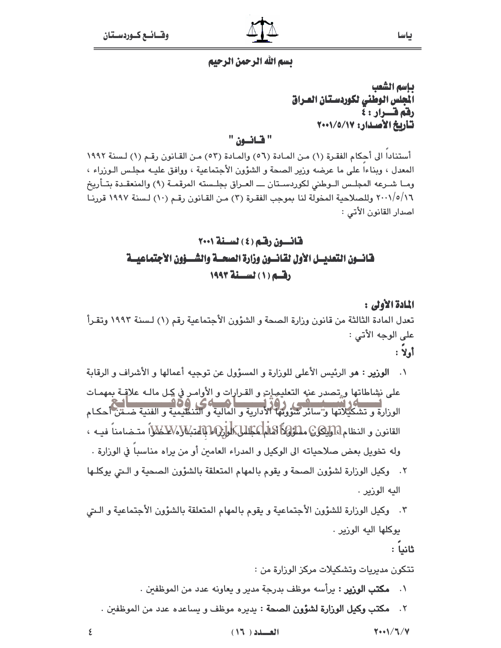#### تسم الله الرحمن الرحيم

ياسم الشعب الجلس الوطني لكوردستان العراق رفة فسرار : ٤ تأريخ الأصدار: ١٧/٥/١٧

ياسا

" قانعن "

أستنادا الى أحكام الفقـرة (١) مـن المـادة (٥٦) والمـادة (٥٣) مـن القـانون رقـم (١) لـسنة ١٩٩٢ المعدل ، وبناءا على ما عرضه وزير الصحة و الشؤون الأجتماعية ، ووافق عليـه مجلـس الـوزراء ، ومـا شـرعه المجلـس الـوطني لكوردسـتان ــــ العـراق بجلـسته المرقمـة (٩) والمنعقـدة بتــأريخ ٢٠٠١/٥/١٦ وللصلاحية المخولة لنا بموجب الفقرة (٣) من القانون رقـم (١٠) لـسنة ١٩٩٧ قررنـا اصدار القانون الأتي :

# قانسون رقم (٤) لسنة ٢٠٠١ فانسون التعديسل الأول لقانسون وزارة الصحسة والشسؤون الأجتماعيسة دقسه (١) لسيسنة ١٩٩٣

المادة الأولى : تعدل المادة الثالثة من قانون وزارة الصحة و الشؤون الأجتماعية رقم (١) لـسنة ١٩٩٢ وتقـرأ على الوجه الأتي : أولا :

- **الوزير : م**و الرئيس الأعلى للوزارة و المسؤول عن توجيه أعمالها و الأشراف و الرقابة  $\cdot$ على نشِاطاتها و تصدر عنه التعليهات و القرارات و الأوامر في كل مالـه علاقـة بمهمـات الوزارة و تشكيلاتها و"سائحتهم" (1972-1988).<br>الوزارة و تشكيلاتها و"سائر شؤونها الأدارية و المالية و التنطيمية و الفنية ضـمْن أحكـام القانون و النظام الو**ليكون مسؤوة كالم عباس المول**ي الله المتبلا لا المتحكم المتخامناً فيـه ، وله تخويل بعض صلاحياته الى الوكيل و المدراء العامين أو من يراه مناسبا في الوزارة . ٢. وكيل الوزارة لشؤون الصحة و يقوم بالمهام المتعلقة بالشؤون الصحية و التي يوكلها اليه الوزير .
- ٢. وكيل الوزارة للشؤون الأجتماعية و يقوم بالمهام المتعلقة بالشؤون الأجتماعية و الـتي يوكلها اليه الوزير .

ثانياً :

تتكون مديريات وتشكيلات مركز الوزارة من :

- ٠١ م**كتب الوزير :** يرأسه موظف بدرجة مدير و يعاونه عدد من الموظفين .
- ٢. م**كتب وكيل الوزارة لشؤون الصحة** : يديره موظف و يساعده عدد من الموظفين .

 $Y \rightarrow V/T/V$ 

 $(17.1)$ 

٤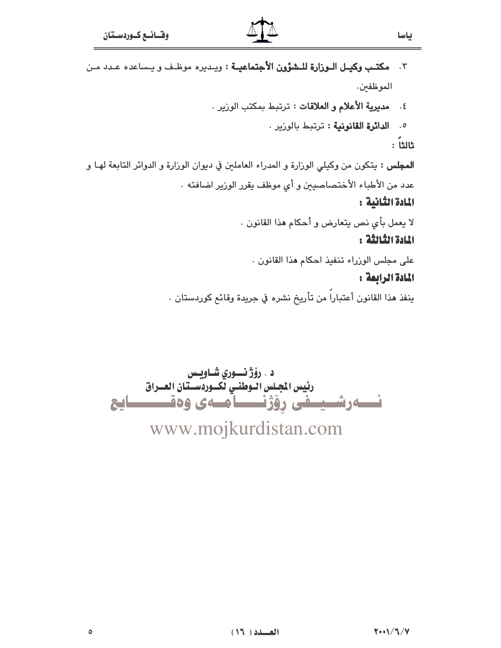- ٢. مكتب وكيـل الـوزارة للـشؤون الأجتماعيـة : ويـديره موظـف و يـساعده عـدد مـن الموظفين.
	- ٤. مديرية الأعلام و العلاقات : ترتبط بمكتب الوزير .
		- 0. الدائرة القانونية : ترتبط بالوزير .

ثالثاً :

ياسا

**المجلس : يتك**ون من وكيلي الوزارة و المدراء العاملين في ديوان الوزارة و الدوائر التابعة لهـا و عدد من الأطباء الأختصاصيين و أى موظف يقرر الوزير اضافته .

## المادة الثانية :

لا يعمل بأي نص يتعارض و أحكام هذا القانون .

#### المادة الثلالثة :

على مجلس الورراء تنفيذ احكام هذا القانون .

#### المادة الرابعة :

ينفذ هذا القانون أعتباراً من تأريخ نشره في جريدة وقائع كوردستان .